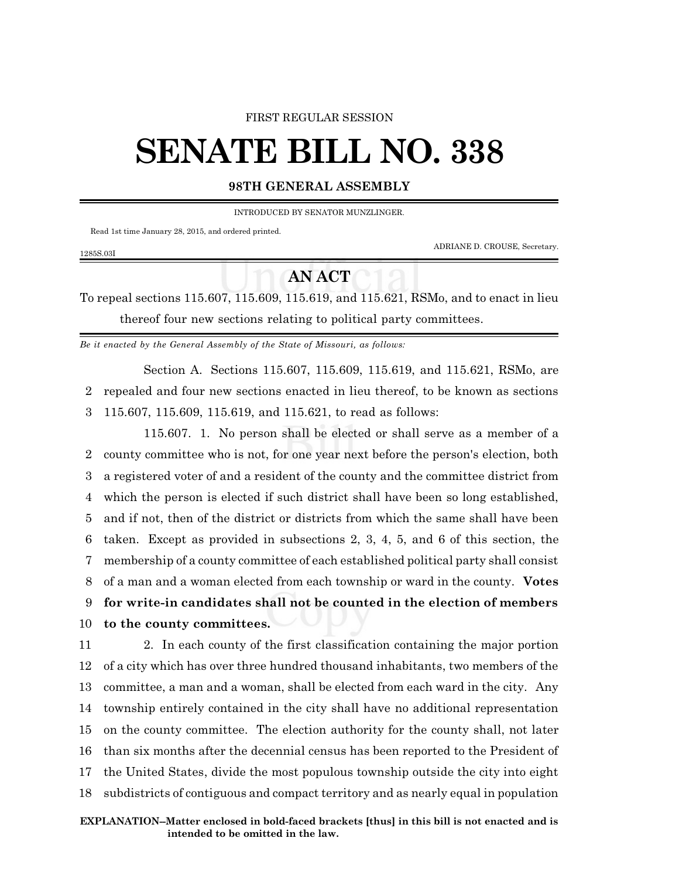## FIRST REGULAR SESSION

## **SENATE BILL NO. 338**

## **98TH GENERAL ASSEMBLY**

INTRODUCED BY SENATOR MUNZLINGER.

Read 1st time January 28, 2015, and ordered printed.

1285S.03I

ADRIANE D. CROUSE, Secretary.

To repeal sections 115.607, 115.609, 115.619, and 115.621, RSMo, and to enact in lieu thereof four new sections relating to political party committees.

**AN ACT**

*Be it enacted by the General Assembly of the State of Missouri, as follows:*

Section A. Sections 115.607, 115.609, 115.619, and 115.621, RSMo, are 2 repealed and four new sections enacted in lieu thereof, to be known as sections 3 115.607, 115.609, 115.619, and 115.621, to read as follows:

115.607. 1. No person shall be elected or shall serve as a member of a county committee who is not, for one year next before the person's election, both a registered voter of and a resident of the county and the committee district from which the person is elected if such district shall have been so long established, and if not, then of the district or districts from which the same shall have been taken. Except as provided in subsections 2, 3, 4, 5, and 6 of this section, the membership of a county committee of each established political party shall consist of a man and a woman elected from each township or ward in the county. **Votes for write-in candidates shall not be counted in the election of members to the county committees.**

 2. In each county of the first classification containing the major portion of a city which has over three hundred thousand inhabitants, two members of the committee, a man and a woman, shall be elected from each ward in the city. Any township entirely contained in the city shall have no additional representation on the county committee. The election authority for the county shall, not later than six months after the decennial census has been reported to the President of the United States, divide the most populous township outside the city into eight subdistricts of contiguous and compact territory and as nearly equal in population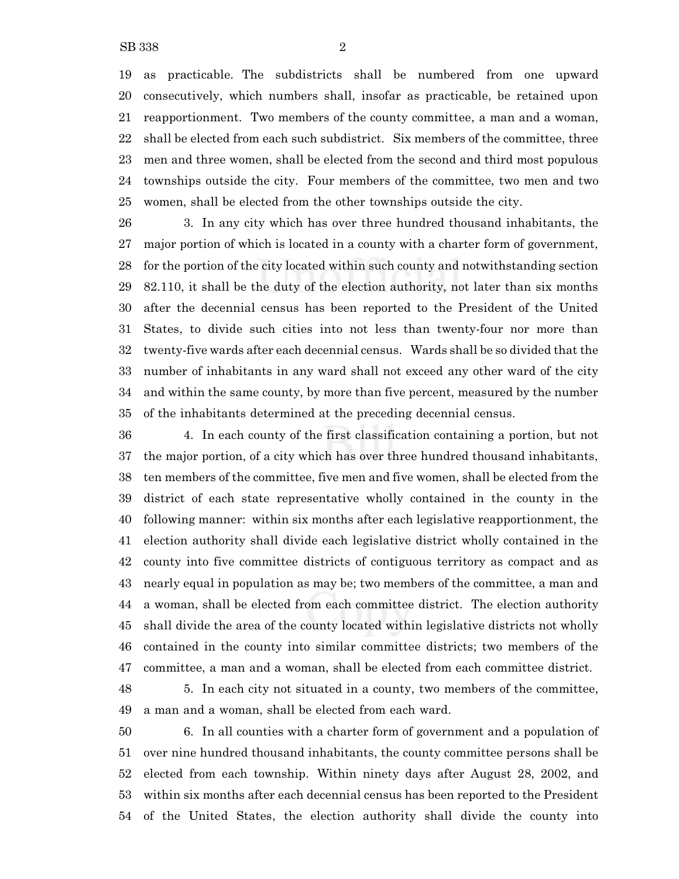as practicable. The subdistricts shall be numbered from one upward consecutively, which numbers shall, insofar as practicable, be retained upon reapportionment. Two members of the county committee, a man and a woman, shall be elected from each such subdistrict. Six members of the committee, three men and three women, shall be elected from the second and third most populous townships outside the city. Four members of the committee, two men and two women, shall be elected from the other townships outside the city.

 3. In any city which has over three hundred thousand inhabitants, the major portion of which is located in a county with a charter form of government, for the portion of the city located within such county and notwithstanding section 82.110, it shall be the duty of the election authority, not later than six months after the decennial census has been reported to the President of the United States, to divide such cities into not less than twenty-four nor more than twenty-five wards after each decennial census. Wards shall be so divided that the number of inhabitants in any ward shall not exceed any other ward of the city and within the same county, by more than five percent, measured by the number of the inhabitants determined at the preceding decennial census.

 4. In each county of the first classification containing a portion, but not the major portion, of a city which has over three hundred thousand inhabitants, ten members of the committee, five men and five women, shall be elected from the district of each state representative wholly contained in the county in the following manner: within six months after each legislative reapportionment, the election authority shall divide each legislative district wholly contained in the county into five committee districts of contiguous territory as compact and as nearly equal in population as may be; two members of the committee, a man and a woman, shall be elected from each committee district. The election authority shall divide the area of the county located within legislative districts not wholly contained in the county into similar committee districts; two members of the committee, a man and a woman, shall be elected from each committee district.

 5. In each city not situated in a county, two members of the committee, a man and a woman, shall be elected from each ward.

 6. In all counties with a charter form of government and a population of over nine hundred thousand inhabitants, the county committee persons shall be elected from each township. Within ninety days after August 28, 2002, and within six months after each decennial census has been reported to the President of the United States, the election authority shall divide the county into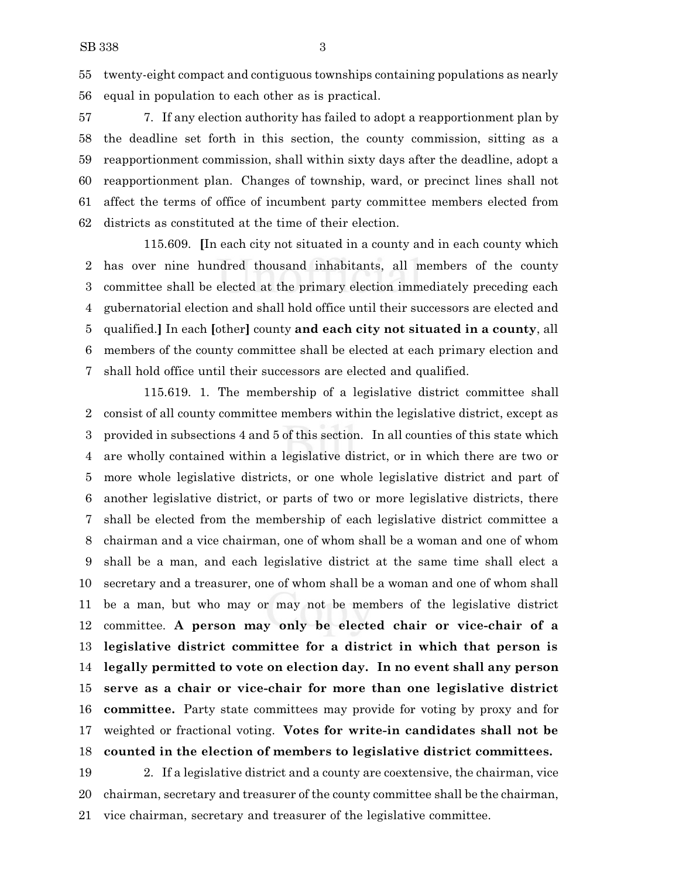twenty-eight compact and contiguous townships containing populations as nearly equal in population to each other as is practical.

 7. If any election authority has failed to adopt a reapportionment plan by the deadline set forth in this section, the county commission, sitting as a reapportionment commission, shall within sixty days after the deadline, adopt a reapportionment plan. Changes of township, ward, or precinct lines shall not affect the terms of office of incumbent party committee members elected from districts as constituted at the time of their election.

115.609. **[**In each city not situated in a county and in each county which has over nine hundred thousand inhabitants, all members of the county committee shall be elected at the primary election immediately preceding each gubernatorial election and shall hold office until their successors are elected and qualified.**]** In each **[**other**]** county **and each city not situated in a county**, all members of the county committee shall be elected at each primary election and shall hold office until their successors are elected and qualified.

115.619. 1. The membership of a legislative district committee shall consist of all county committee members within the legislative district, except as provided in subsections 4 and 5 of this section. In all counties of this state which are wholly contained within a legislative district, or in which there are two or more whole legislative districts, or one whole legislative district and part of another legislative district, or parts of two or more legislative districts, there shall be elected from the membership of each legislative district committee a chairman and a vice chairman, one of whom shall be a woman and one of whom shall be a man, and each legislative district at the same time shall elect a secretary and a treasurer, one of whom shall be a woman and one of whom shall be a man, but who may or may not be members of the legislative district committee. **A person may only be elected chair or vice-chair of a legislative district committee for a district in which that person is legally permitted to vote on election day. In no event shall any person serve as a chair or vice-chair for more than one legislative district committee.** Party state committees may provide for voting by proxy and for weighted or fractional voting. **Votes for write-in candidates shall not be counted in the election of members to legislative district committees.**

 2. If a legislative district and a county are coextensive, the chairman, vice chairman, secretary and treasurer of the county committee shall be the chairman, vice chairman, secretary and treasurer of the legislative committee.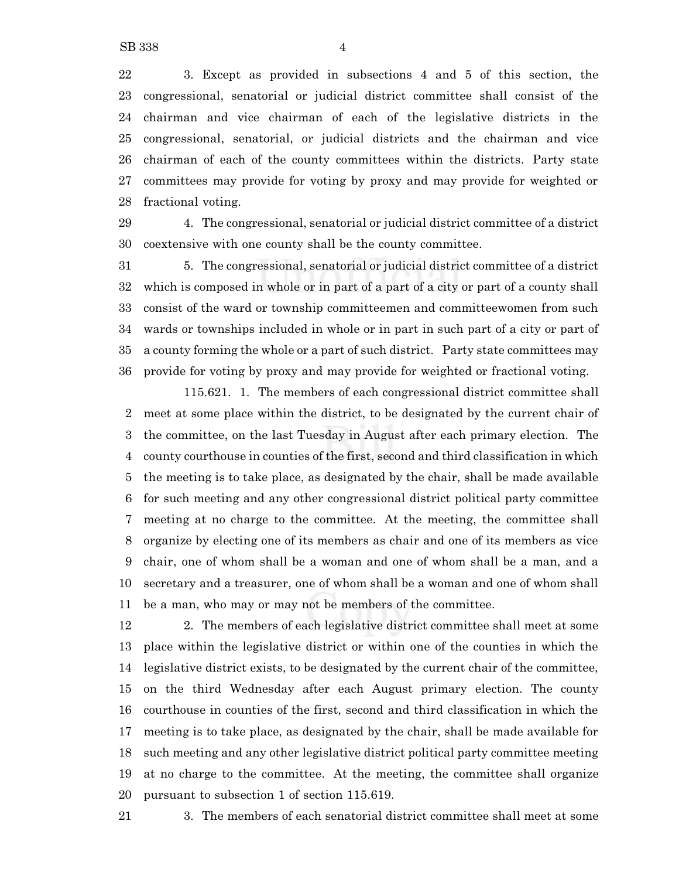3. Except as provided in subsections 4 and 5 of this section, the congressional, senatorial or judicial district committee shall consist of the chairman and vice chairman of each of the legislative districts in the congressional, senatorial, or judicial districts and the chairman and vice chairman of each of the county committees within the districts. Party state committees may provide for voting by proxy and may provide for weighted or fractional voting.

 4. The congressional, senatorial or judicial district committee of a district coextensive with one county shall be the county committee.

 5. The congressional, senatorial or judicial district committee of a district which is composed in whole or in part of a part of a city or part of a county shall consist of the ward or township committeemen and committeewomen from such wards or townships included in whole or in part in such part of a city or part of a county forming the whole or a part of such district. Party state committees may provide for voting by proxy and may provide for weighted or fractional voting.

115.621. 1. The members of each congressional district committee shall meet at some place within the district, to be designated by the current chair of the committee, on the last Tuesday in August after each primary election. The county courthouse in counties of the first, second and third classification in which the meeting is to take place, as designated by the chair, shall be made available for such meeting and any other congressional district political party committee meeting at no charge to the committee. At the meeting, the committee shall organize by electing one of its members as chair and one of its members as vice chair, one of whom shall be a woman and one of whom shall be a man, and a secretary and a treasurer, one of whom shall be a woman and one of whom shall be a man, who may or may not be members of the committee.

 2. The members of each legislative district committee shall meet at some place within the legislative district or within one of the counties in which the legislative district exists, to be designated by the current chair of the committee, on the third Wednesday after each August primary election. The county courthouse in counties of the first, second and third classification in which the meeting is to take place, as designated by the chair, shall be made available for such meeting and any other legislative district political party committee meeting at no charge to the committee. At the meeting, the committee shall organize pursuant to subsection 1 of section 115.619.

3. The members of each senatorial district committee shall meet at some